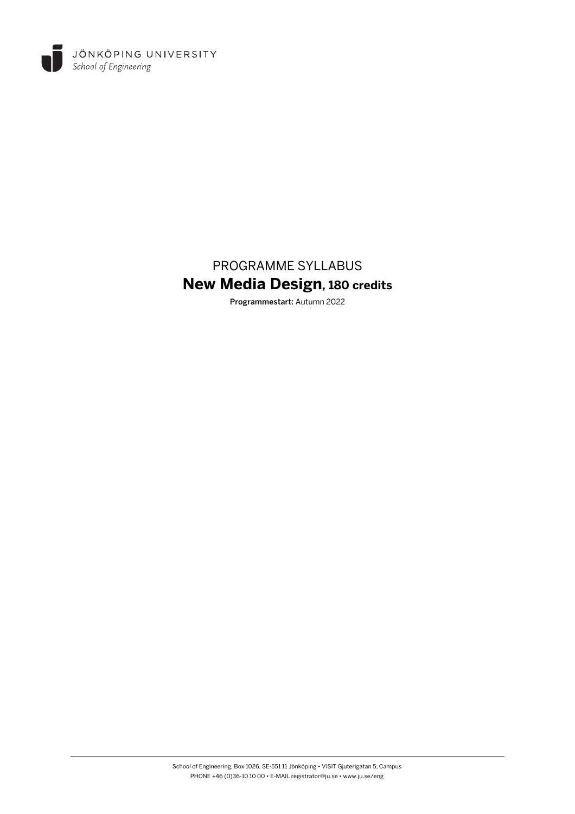

# PROGRAMME SYLLABUS **New Media Design, 180 credits**

Programmestart: Autumn 2022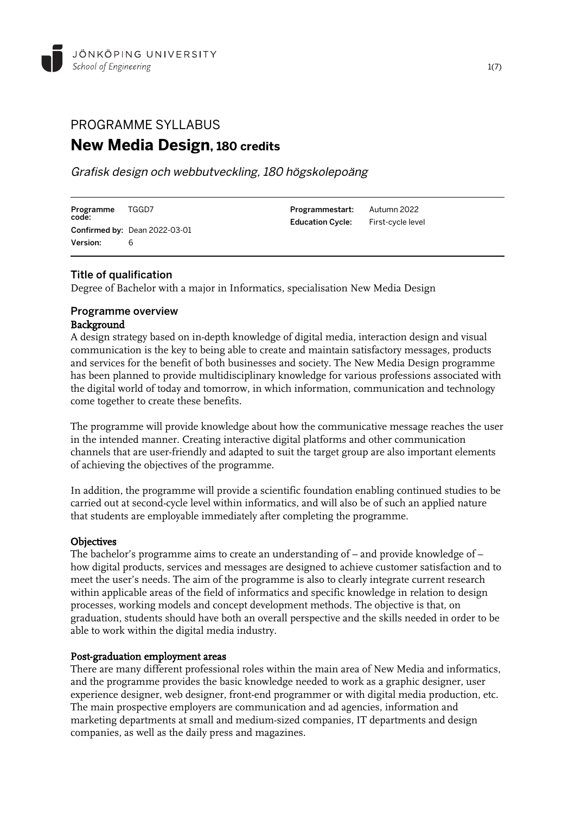

# PROGRAMME SYLLABUS **New Media Design, 180 credits**

Grafisk design och webbutveckling, 180 högskolepoäng

| Programme<br>code: | TGGD7                                | <b>Programmestart:</b> Autumn 2022        |  |
|--------------------|--------------------------------------|-------------------------------------------|--|
|                    | <b>Confirmed by: Dean 2022-03-01</b> | <b>Education Cycle:</b> First-cycle level |  |
| Version:           |                                      |                                           |  |

# Title of qualification

Degree of Bachelor with a major in Informatics, specialisation New Media Design

# Programme overview Background

A design strategy based on in-depth knowledge of digital media, interaction design and visual communication is the key to being able to create and maintain satisfactory messages, products and services for the benefit of both businesses and society. The New Media Design programme has been planned to provide multidisciplinary knowledge for various professions associated with the digital world of today and tomorrow, in which information, communication and technology come together to create these benefits.

The programme will provide knowledge about how the communicative message reaches the user in the intended manner. Creating interactive digital platforms and other communication channels that are user-friendly and adapted to suit the target group are also important elements of achieving the objectives of the programme.

In addition, the programme will provide a scientific foundation enabling continued studies to be carried out at second-cycle level within informatics, and will also be of such an applied nature that students are employable immediately after completing the programme.

# **Objectives**

The bachelor's programme aims to create an understanding of – and provide knowledge of – how digital products, services and messages are designed to achieve customer satisfaction and to meet the user's needs. The aim of the programme is also to clearly integrate current research within applicable areas of the field of informatics and specific knowledge in relation to design processes, working models and concept development methods. The objective is that, on graduation, students should have both an overall perspective and the skills needed in order to be able to work within the digital media industry.

#### Post-graduation employment areas

There are many different professional roles within the main area of New Media and informatics, and the programme provides the basic knowledge needed to work as a graphic designer, user experience designer, web designer, front-end programmer or with digital media production, etc. The main prospective employers are communication and ad agencies, information and marketing departments at small and medium-sized companies, IT departments and design companies, as well as the daily press and magazines.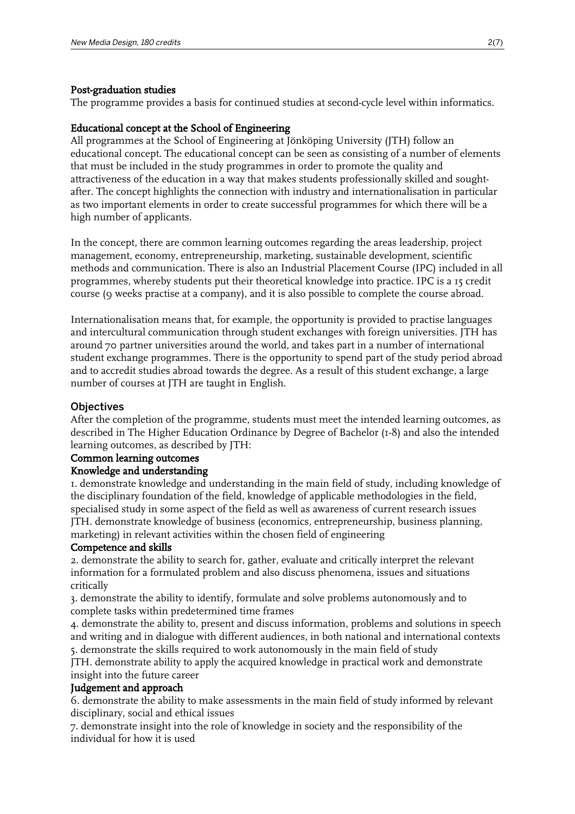#### Post-graduation studies

The programme provides a basis for continued studies at second-cycle level within informatics.

# Educational concept at the School of Engineering

All programmes at the School of Engineering at Jönköping University (JTH) follow an educational concept. The educational concept can be seen as consisting of a number of elements that must be included in the study programmes in order to promote the quality and attractiveness of the education in a way that makes students professionally skilled and soughtafter. The concept highlights the connection with industry and internationalisation in particular as two important elements in order to create successful programmes for which there will be a high number of applicants.

In the concept, there are common learning outcomes regarding the areas leadership, project management, economy, entrepreneurship, marketing, sustainable development, scientific methods and communication. There is also an Industrial Placement Course (IPC) included in all programmes, whereby students put their theoretical knowledge into practice. IPC is a 15 credit course (9 weeks practise at a company), and it is also possible to complete the course abroad.

Internationalisation means that, for example, the opportunity is provided to practise languages and intercultural communication through student exchanges with foreign universities. JTH has around 70 partner universities around the world, and takes part in a number of international student exchange programmes. There is the opportunity to spend part of the study period abroad and to accredit studies abroad towards the degree. As a result of this student exchange, a large number of courses at JTH are taught in English.

#### **Objectives**

After the completion of the programme, students must meet the intended learning outcomes, as described in The Higher Education Ordinance by Degree of Bachelor (1-8) and also the intended learning outcomes, as described by JTH:

# Common learning outcomes

#### Knowledge and understanding

1. demonstrate knowledge and understanding in the main field of study, including knowledge of the disciplinary foundation of the field, knowledge of applicable methodologies in the field, specialised study in some aspect of the field as well as awareness of current research issues JTH. demonstrate knowledge of business (economics, entrepreneurship, business planning, marketing) in relevant activities within the chosen field of engineering

#### Competence and skills

2. demonstrate the ability to search for, gather, evaluate and critically interpret the relevant information for a formulated problem and also discuss phenomena, issues and situations critically

3. demonstrate the ability to identify, formulate and solve problems autonomously and to complete tasks within predetermined time frames

4. demonstrate the ability to, present and discuss information, problems and solutions in speech and writing and in dialogue with different audiences, in both national and international contexts 5. demonstrate the skills required to work autonomously in the main field of study

JTH. demonstrate ability to apply the acquired knowledge in practical work and demonstrate insight into the future career

# Judgement and approach

6. demonstrate the ability to make assessments in the main field of study informed by relevant disciplinary, social and ethical issues

7. demonstrate insight into the role of knowledge in society and the responsibility of the individual for how it is used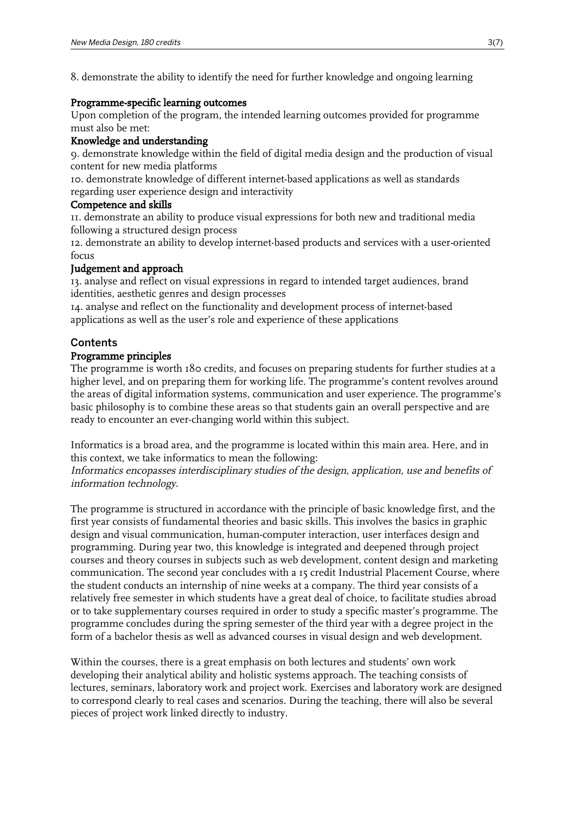8. demonstrate the ability to identify the need for further knowledge and ongoing learning

#### Programme-specific learning outcomes

Upon completion of the program, the intended learning outcomes provided for programme must also be met:

# Knowledge and understanding

9. demonstrate knowledge within the field of digital media design and the production of visual content for new media platforms

10. demonstrate knowledge of different internet-based applications as well as standards regarding user experience design and interactivity

#### Competence and skills

11. demonstrate an ability to produce visual expressions for both new and traditional media following a structured design process

12. demonstrate an ability to develop internet-based products and services with a user-oriented focus

# Judgement and approach

13. analyse and reflect on visual expressions in regard to intended target audiences, brand identities, aesthetic genres and design processes

14. analyse and reflect on the functionality and development process of internet-based applications as well as the user's role and experience of these applications

# **Contents**

# Programme principles

The programme is worth 180 credits, and focuses on preparing students for further studies at a higher level, and on preparing them for working life. The programme's content revolves around the areas of digital information systems, communication and user experience. The programme's basic philosophy is to combine these areas so that students gain an overall perspective and are ready to encounter an ever-changing world within this subject.

Informatics is a broad area, and the programme is located within this main area. Here, and in this context, we take informatics to mean the following:

Informatics encopasses interdisciplinary studies of the design, application, use and benefits of information technology.

The programme is structured in accordance with the principle of basic knowledge first, and the first year consists of fundamental theories and basic skills. This involves the basics in graphic design and visual communication, human-computer interaction, user interfaces design and programming. During year two, this knowledge is integrated and deepened through project courses and theory courses in subjects such as web development, content design and marketing communication. The second year concludes with a 15 credit Industrial Placement Course, where the student conducts an internship of nine weeks at a company. The third year consists of a relatively free semester in which students have a great deal of choice, to facilitate studies abroad or to take supplementary courses required in order to study a specific master's programme. The programme concludes during the spring semester of the third year with a degree project in the form of a bachelor thesis as well as advanced courses in visual design and web development.

Within the courses, there is a great emphasis on both lectures and students' own work developing their analytical ability and holistic systems approach. The teaching consists of lectures, seminars, laboratory work and project work. Exercises and laboratory work are designed to correspond clearly to real cases and scenarios. During the teaching, there will also be several pieces of project work linked directly to industry.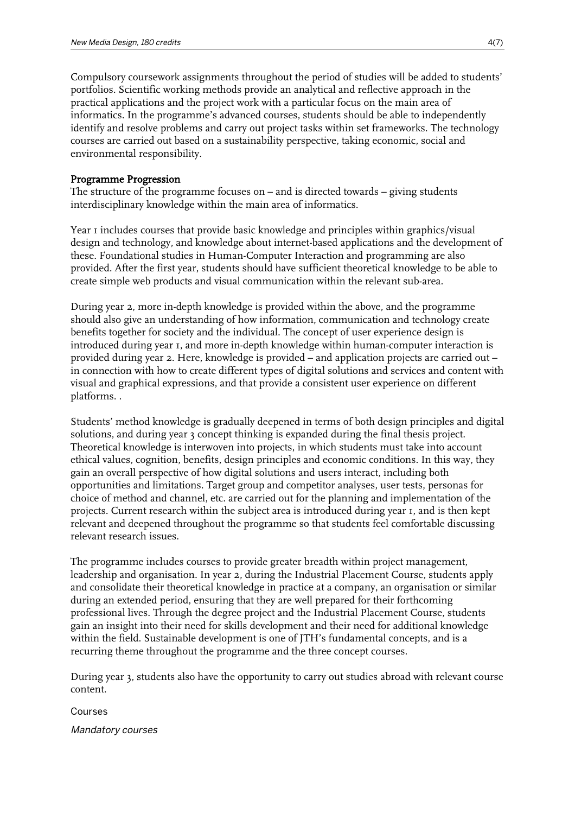Compulsory coursework assignments throughout the period of studies will be added to students' portfolios. Scientific working methods provide an analytical and reflective approach in the practical applications and the project work with a particular focus on the main area of informatics. In the programme's advanced courses, students should be able to independently identify and resolve problems and carry out project tasks within set frameworks. The technology courses are carried out based on a sustainability perspective, taking economic, social and environmental responsibility.

#### Programme Progression

The structure of the programme focuses on – and is directed towards – giving students interdisciplinary knowledge within the main area of informatics.

Year I includes courses that provide basic knowledge and principles within graphics/visual design and technology, and knowledge about internet-based applications and the development of these. Foundational studies in Human-Computer Interaction and programming are also provided. After the first year, students should have sufficient theoretical knowledge to be able to create simple web products and visual communication within the relevant sub-area.

During year 2, more in-depth knowledge is provided within the above, and the programme should also give an understanding of how information, communication and technology create benefits together for society and the individual. The concept of user experience design is introduced during year 1, and more in-depth knowledge within human-computer interaction is provided during year 2. Here, knowledge is provided – and application projects are carried out – in connection with how to create different types of digital solutions and services and content with visual and graphical expressions, and that provide a consistent user experience on different platforms. .

Students' method knowledge is gradually deepened in terms of both design principles and digital solutions, and during year 3 concept thinking is expanded during the final thesis project. Theoretical knowledge is interwoven into projects, in which students must take into account ethical values, cognition, benefits, design principles and economic conditions. In this way, they gain an overall perspective of how digital solutions and users interact, including both opportunities and limitations. Target group and competitor analyses, user tests, personas for choice of method and channel, etc. are carried out for the planning and implementation of the projects. Current research within the subject area is introduced during year 1, and is then kept relevant and deepened throughout the programme so that students feel comfortable discussing relevant research issues.

The programme includes courses to provide greater breadth within project management, leadership and organisation. In year 2, during the Industrial Placement Course, students apply and consolidate their theoretical knowledge in practice at a company, an organisation or similar during an extended period, ensuring that they are well prepared for their forthcoming professional lives. Through the degree project and the Industrial Placement Course, students gain an insight into their need for skills development and their need for additional knowledge within the field. Sustainable development is one of JTH's fundamental concepts, and is a recurring theme throughout the programme and the three concept courses.

During year 3, students also have the opportunity to carry out studies abroad with relevant course content.

Courses

Mandatory courses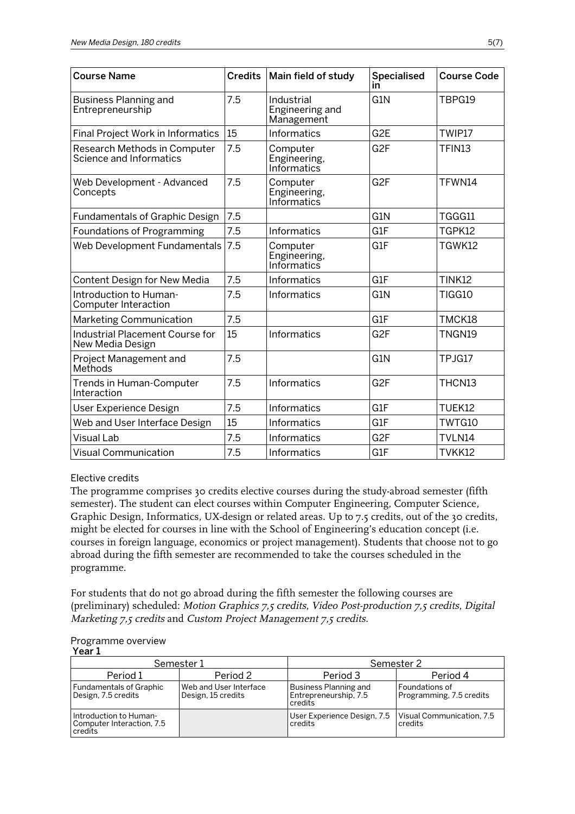| <b>Course Name</b>                                      | <b>Credits</b> | Main field of study                         | Specialised<br>in | <b>Course Code</b> |
|---------------------------------------------------------|----------------|---------------------------------------------|-------------------|--------------------|
| <b>Business Planning and</b><br>Entrepreneurship        | 7.5            | Industrial<br>Engineering and<br>Management | G1N               | TBPG19             |
| <b>Final Project Work in Informatics</b>                | 15             | Informatics                                 | G <sub>2</sub> E  | TWIP17             |
| Research Methods in Computer<br>Science and Informatics | 7.5            | Computer<br>Engineering,<br>Informatics     | G <sub>2F</sub>   | TFIN13             |
| Web Development - Advanced<br>Concepts                  | 7.5            | Computer<br>Engineering,<br>Informatics     | G <sub>2F</sub>   | TFWN14             |
| <b>Fundamentals of Graphic Design</b>                   | 7.5            |                                             | G1N               | TGGG11             |
| <b>Foundations of Programming</b>                       | 7.5            | <b>Informatics</b>                          | G1F               | TGPK12             |
| Web Development Fundamentals                            | 7.5            | Computer<br>Engineering,<br>Informatics     | G1F               | TGWK12             |
| Content Design for New Media                            | 7.5            | Informatics                                 | G <sub>1</sub> F  | <b>TINK12</b>      |
| Introduction to Human-<br>Computer Interaction          | 7.5            | Informatics                                 | G1N               | TIGG10             |
| Marketing Communication                                 | 7.5            |                                             | G1F               | TMCK18             |
| Industrial Placement Course for<br>New Media Design     | 15             | Informatics                                 | G <sub>2F</sub>   | TNGN19             |
| Project Management and<br>Methods                       | 7.5            |                                             | G <sub>1</sub> N  | TPJG17             |
| Trends in Human-Computer<br>Interaction                 | 7.5            | <b>Informatics</b>                          | G <sub>2F</sub>   | THCN13             |
| User Experience Design                                  | 7.5            | Informatics                                 | G1F               | TUEK12             |
| Web and User Interface Design                           | 15             | Informatics                                 | G1F               | TWTG10             |
| <b>Visual Lab</b>                                       | 7.5            | Informatics                                 | G <sub>2F</sub>   | TVLN14             |
| <b>Visual Communication</b>                             | 7.5            | Informatics                                 | G1F               | TVKK12             |

#### Elective credits

The programme comprises 30 credits elective courses during the study-abroad semester (fifth semester). The student can elect courses within Computer Engineering, Computer Science, Graphic Design, Informatics, UX-design or related areas. Up to 7.5 credits, out of the 30 credits, might be elected for courses in line with the School of Engineering's education concept (i.e. courses in foreign language, economics or project management). Students that choose not to go abroad during the fifth semester are recommended to take the courses scheduled in the programme.

For students that do not go abroad during the fifth semester the following courses are (preliminary) scheduled: Motion Graphics 7,5 credits, Video Post-production 7,5 credits, Digital Marketing 7,5 credits and Custom Project Management 7,5 credits.

#### Programme overview Year<sub>1</sub>

|                                                                | Semester 1                                   |                                                             | Semester 2                                   |
|----------------------------------------------------------------|----------------------------------------------|-------------------------------------------------------------|----------------------------------------------|
| Period 1                                                       | Period 2                                     | Period 3                                                    | Period 4                                     |
| <b>Fundamentals of Graphic</b><br>Design, 7.5 credits          | Web and User Interface<br>Design, 15 credits | Business Planning and<br>Entrepreneurship, 7.5<br>l credits | l Foundations of<br>Programming, 7.5 credits |
| Introduction to Human-<br>Computer Interaction, 7.5<br>credits |                                              | User Experience Design, 7.5<br>l credits                    | Visual Communication, 7.5<br>credits         |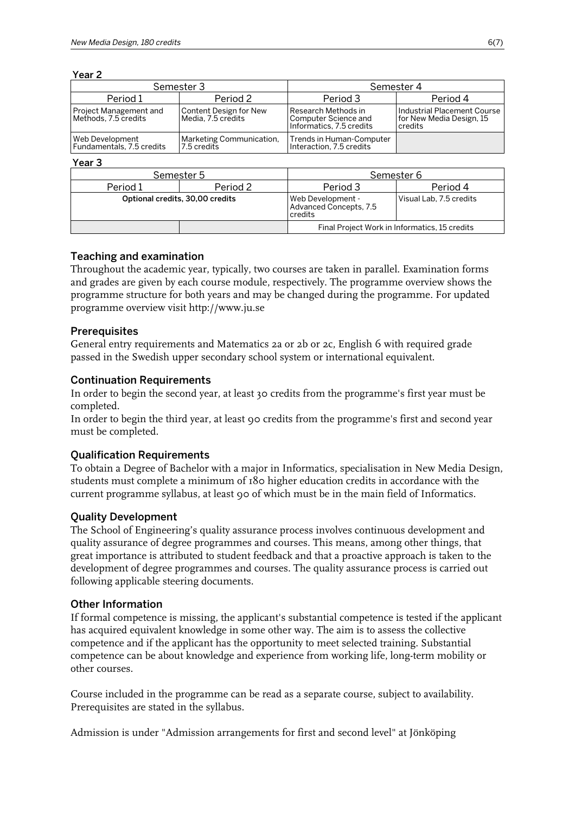Year 2

| Semester 3                                     |                                              | Semester 4                                                              |                                                                    |
|------------------------------------------------|----------------------------------------------|-------------------------------------------------------------------------|--------------------------------------------------------------------|
| Period 1                                       | Period 2                                     | Period 3                                                                | Period 4                                                           |
| Project Management and<br>Methods, 7.5 credits | Content Design for New<br>Media, 7.5 credits | Research Methods in<br>Computer Science and<br>Informatics, 7.5 credits | Industrial Placement Course<br>for New Media Design, 15<br>credits |
| Web Development<br>Fundamentals, 7.5 credits   | Marketing Communication,<br>7.5 credits      | Trends in Human-Computer<br>Interaction, 7.5 credits                    |                                                                    |

#### Year 3

| .                               |          |                                                        |                         |
|---------------------------------|----------|--------------------------------------------------------|-------------------------|
| Semester 5                      |          | Semester 6                                             |                         |
| Period 1                        | Period 2 | Period 3                                               | Period 4                |
| Optional credits, 30,00 credits |          | Web Development -<br>Advanced Concepts, 7.5<br>credits | Visual Lab, 7.5 credits |
|                                 |          | Final Project Work in Informatics, 15 credits          |                         |

# Teaching and examination

Throughout the academic year, typically, two courses are taken in parallel. Examination forms and grades are given by each course module, respectively. The programme overview shows the programme structure for both years and may be changed during the programme. For updated programme overview visit http://www.ju.se

#### **Prerequisites**

General entry requirements and Matematics 2a or 2b or 2c, English 6 with required grade passed in the Swedish upper secondary school system or international equivalent.

#### Continuation Requirements

In order to begin the second year, at least 30 credits from the programme's first year must be completed.

In order to begin the third year, at least 90 credits from the programme's first and second year must be completed.

# Qualification Requirements

To obtain a Degree of Bachelor with a major in Informatics, specialisation in New Media Design, students must complete a minimum of 180 higher education credits in accordance with the current programme syllabus, at least 90 of which must be in the main field of Informatics.

# Quality Development

The School of Engineering's quality assurance process involves continuous development and quality assurance of degree programmes and courses. This means, among other things, that great importance is attributed to student feedback and that a proactive approach is taken to the development of degree programmes and courses. The quality assurance process is carried out following applicable steering documents.

#### Other Information

If formal competence is missing, the applicant's substantial competence is tested if the applicant has acquired equivalent knowledge in some other way. The aim is to assess the collective competence and if the applicant has the opportunity to meet selected training. Substantial competence can be about knowledge and experience from working life, long-term mobility or other courses.

Course included in the programme can be read as a separate course, subject to availability. Prerequisites are stated in the syllabus.

Admission is under "Admission arrangements for first and second level" at Jönköping